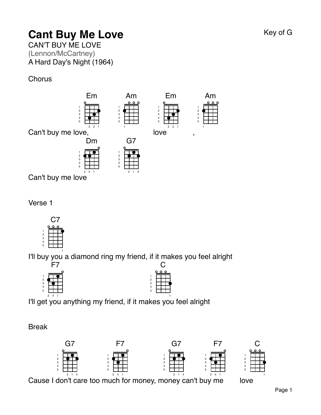# **Cant Buy Me Love** Key of G

CAN'T BUY ME LOVE (Lennon/McCartney) A Hard Day's Night (1964)

**Chorus** 



Verse 1



I'll buy you a diamond ring my friend, if it makes you feel alright



| 12345 |  |  |  |  |  |  |
|-------|--|--|--|--|--|--|
|       |  |  |  |  |  |  |
|       |  |  |  |  |  |  |

I'll get you anything my friend, if it m akes you feel alright 

Break



Cause I don't care too much for money, money can't buy me

love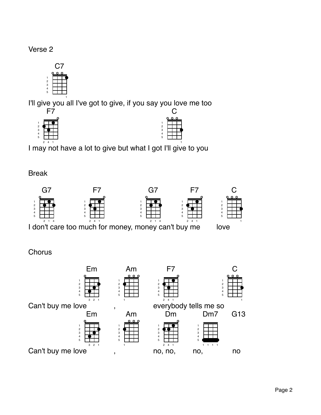#### Verse 2

I'll give you all I've got to give, if you say you love me too



I may not have a lot to give but what I got I'll give to you

Break



l don't care too much for money, money can't buy me

### **Chorus**



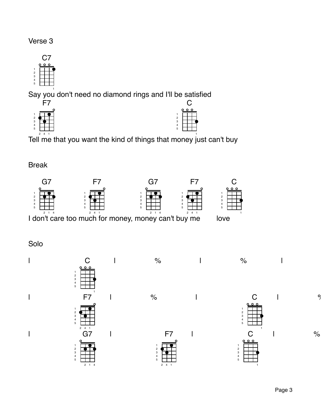

Say you don't need no diamond rings and I'll be satisfied





Tell me that you want the kind of things that money just can't buy

Break



l don't care too much for money, money can't buy me

Solo

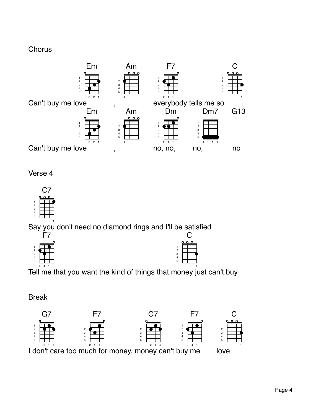#### **Chorus**



Verse 4



Say you don't need no diamond rings and I'll be satisfied



F7

 $\cap$ 

Tell me that you want the kind of things that money just can't buy

Break